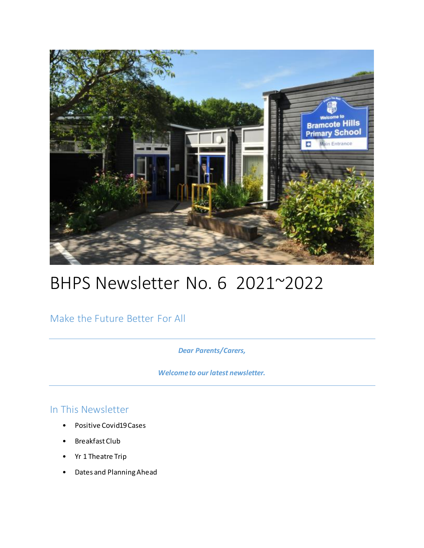

# BHPS Newsletter No. 6 2021~2022

Make the Future Better For All

*Dear Parents/Carers,* 

*Welcome to our latest newsletter.*

### In This Newsletter

- Positive Covid19 Cases
- Breakfast Club
- Yr 1 Theatre Trip
- Dates and Planning Ahead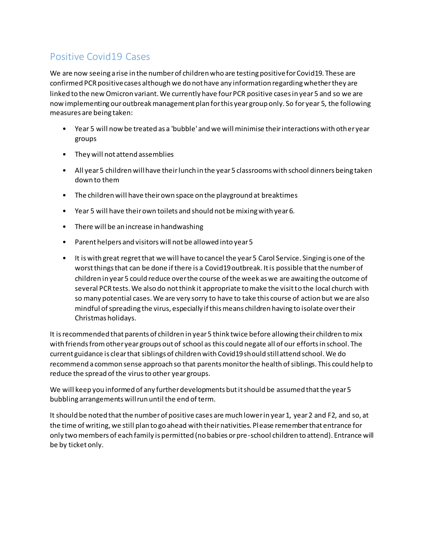## Positive Covid19 Cases

We are now seeing a rise in the number of children who are testing positive for Covid19. These are confirmed PCR positive cases although we do not have any information regarding whether they are linked to the new Omicron variant. We currently have four PCR positive cases in year 5 and so we are now implementing our outbreak management plan for this year group only. So for year 5, the following measures are being taken:

- Year 5 will now be treated as a 'bubble' and we will minimise their interactions with other year groups
- They will not attend assemblies
- All year 5 children will have their lunch in the year 5 classrooms with school dinners being taken down to them
- The children will have their own space on the playground at breaktimes
- Year 5 will have their own toilets and should not be mixing with year 6.
- There will be an increase in handwashing
- Parent helpers and visitors will not be allowed into year 5
- It is with great regret that we will have to cancel the year 5 Carol Service. Singing is one of the worst things that can be done if there is a Covid19 outbreak. It is possible that the number of children in year 5 could reduce over the course of the week as we are awaiting the outcome of several PCR tests. We also do not think it appropriate to make the visit to the local church with so many potential cases. We are very sorry to have to take this course of action but we are also mindful of spreading the virus, especially if this means children having to isolate over their Christmas holidays.

It is recommended that parents of children in year 5 think twice before allowing their children to mix with friends from other year groups out of school as this could negate all of our efforts in school. The current guidance is clear that siblings of children with Covid19 should still attend school. We do recommend a common sense approach so that parents monitor the health of siblings. This could help to reduce the spread of the virus to other year groups.

We will keep you informed of any further developments but it should be assumed that the year 5 bubbling arrangements will run until the end of term.

It should be noted that the number of positive cases are much lower in year 1, year 2 and F2, and so, at the time of writing, we still plan to go ahead with their nativities. Please remember that entrance for only two members of each family is permitted (no babies or pre-school children to attend). Entrance will be by ticket only.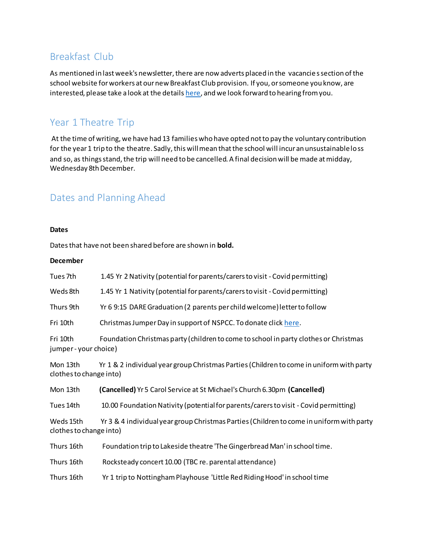### Breakfast Club

As mentioned in last week's newsletter, there are now adverts placed in the vacancie s section of the school website for workers at our new Breakfast Club provision. If you, or someone you know, are interested, please take a look at the detail[s here,](https://www.bramcotehills.org/page/?title=Vacancies&pid=27) and we look forward to hearing from you.

### Year 1 Theatre Trip

At the time of writing, we have had 13 families who have opted not to pay the voluntary contribution for the year 1 trip to the theatre. Sadly, this will mean that the school will incur an unsustainable loss and so, as things stand, the trip will need to be cancelled. A final decision will be made at midday, Wednesday 8th December.

### Dates and Planning Ahead

#### **Dates**

Dates that have not been shared before are shown in **bold.**

#### **December**

| Tues 7th | 1.45 Yr 2 Nativity (potential for parents/carers to visit - Covid permitting) |  |
|----------|-------------------------------------------------------------------------------|--|
|          |                                                                               |  |

Weds 8th 1.45 Yr 1 Nativity (potential for parents/carers to visit - Covid permitting)

Thurs 9th Yr 6 9:15 DARE Graduation (2 parents per child welcome) letter to follow

Fri 10th Christmas Jumper Day in support of NSPCC. To donate clic[k here.](https://christmas.savethechildren.org.uk/fundraising/cjd210030080)

Fri 10th Foundation Christmas party (children to come to school in party clothes or Christmas jumper - your choice)

Mon 13th Yr 1 & 2 individual year group Christmas Parties (Children to come in uniform with party clothes to change into)

Mon 13th **(Cancelled)** Yr 5 Carol Service at St Michael's Church 6.30pm **(Cancelled)**

Tues 14th 10.00 Foundation Nativity (potential for parents/carers to visit - Covid permitting)

Weds 15th Yr 3 & 4 individual year group Christmas Parties (Children to come in uniform with party clothes to change into)

Thurs 16th Foundation trip to Lakeside theatre 'The Gingerbread Man' in school time.

Thurs 16th Rocksteady concert 10.00 (TBC re. parental attendance)

Thurs 16th Yr 1 trip to Nottingham Playhouse 'Little Red Riding Hood' in school time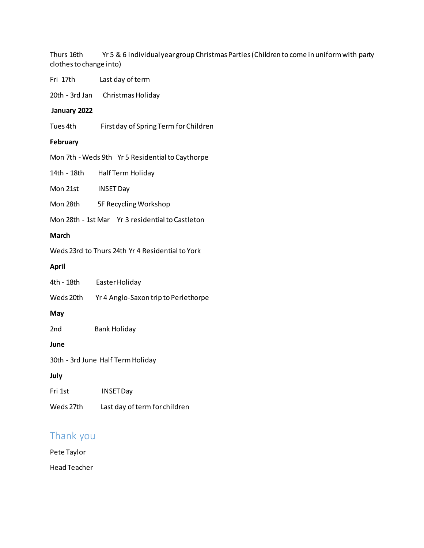Thurs 16th Yr 5 & 6 individual year group Christmas Parties (Children to come in uniform with party clothes to change into)

Fri 17th Last day of term

20th - 3rd Jan Christmas Holiday

#### **January 2022**

Tues 4th First day of Spring Term for Children

#### **February**

Mon 7th - Weds 9th Yr 5 Residential to Caythorpe

14th - 18th Half Term Holiday

Mon 21st INSET Day

Mon 28th 5F Recycling Workshop

Mon 28th - 1st Mar Yr 3 residential to Castleton

#### **March**

Weds 23rd to Thurs 24th Yr 4 Residential to York

#### **April**

| 4th - 18th                        | Easter Holiday                       |  |
|-----------------------------------|--------------------------------------|--|
| Weds 20th                         | Yr 4 Anglo-Saxon trip to Perlethorpe |  |
| May                               |                                      |  |
| 2nd                               | <b>Bank Holiday</b>                  |  |
| June                              |                                      |  |
| 30th - 3rd June Half Term Holiday |                                      |  |
| July                              |                                      |  |
| Fri 1st                           | <b>INSET Day</b>                     |  |
| Weds 27th                         | Last day of term for children        |  |

### Thank you

Pete Taylor Head Teacher